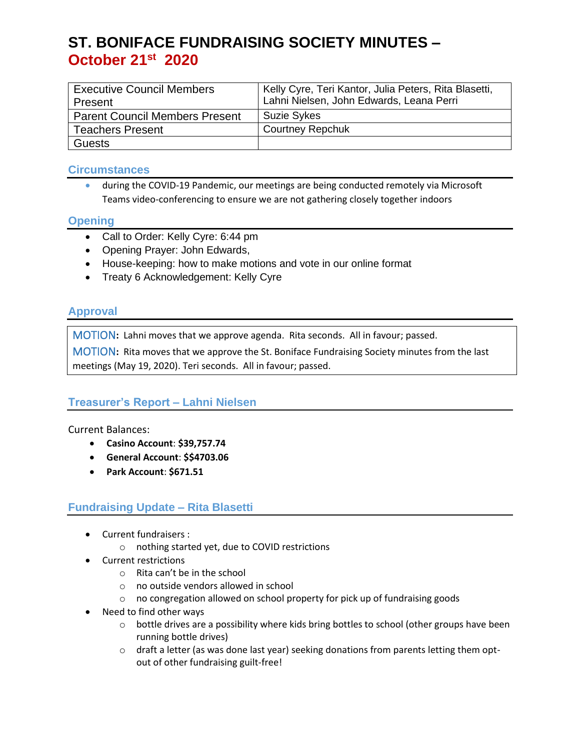# **ST. BONIFACE FUNDRAISING SOCIETY MINUTES – October 21 st 2020**

| <b>Executive Council Members</b><br>Present | <sup>1</sup> Kelly Cyre, Teri Kantor, Julia Peters, Rita Blasetti,<br>Lahni Nielsen, John Edwards, Leana Perri |
|---------------------------------------------|----------------------------------------------------------------------------------------------------------------|
|                                             |                                                                                                                |
| <b>Parent Council Members Present</b>       | <b>Suzie Sykes</b>                                                                                             |
| <b>Teachers Present</b>                     | <b>Courtney Repchuk</b>                                                                                        |
| <b>Guests</b>                               |                                                                                                                |

#### **Circumstances**

• during the COVID-19 Pandemic, our meetings are being conducted remotely via Microsoft Teams video-conferencing to ensure we are not gathering closely together indoors

#### **Opening**

- Call to Order: Kelly Cyre: 6:44 pm
- Opening Prayer: John Edwards,
- House-keeping: how to make motions and vote in our online format
- Treaty 6 Acknowledgement: Kelly Cyre

## **Approval**

MOTION**:** Lahni moves that we approve agenda. Rita seconds. All in favour; passed.

MOTION**:** Rita moves that we approve the St. Boniface Fundraising Society minutes from the last meetings (May 19, 2020). Teri seconds. All in favour; passed.

## **Treasurer's Report – Lahni Nielsen**

Current Balances:

- **Casino Account**: **\$39,757.74**
- **General Account**: **\$\$4703.06**
- **Park Account**: **\$671.51**

## **Fundraising Update – Rita Blasetti**

- Current fundraisers :
	- o nothing started yet, due to COVID restrictions
- Current restrictions
	- o Rita can't be in the school
	- o no outside vendors allowed in school
	- o no congregation allowed on school property for pick up of fundraising goods
- Need to find other ways
	- $\circ$  bottle drives are a possibility where kids bring bottles to school (other groups have been running bottle drives)
	- $\circ$  draft a letter (as was done last year) seeking donations from parents letting them optout of other fundraising guilt-free!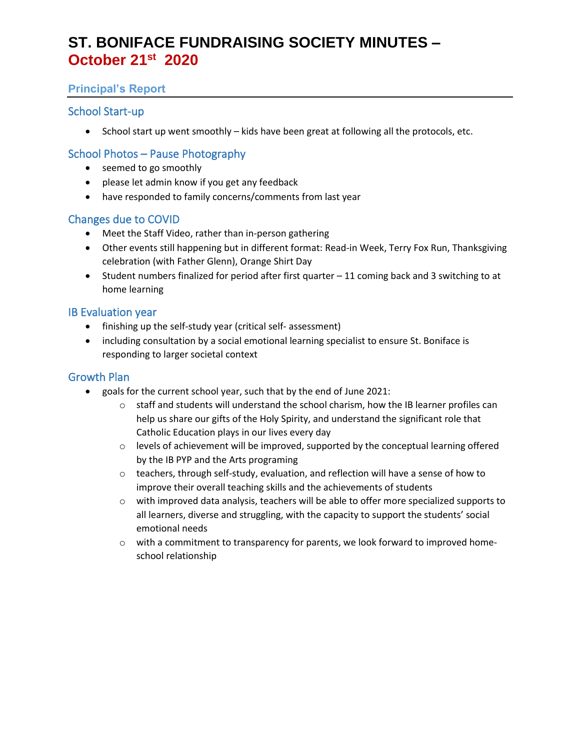# **ST. BONIFACE FUNDRAISING SOCIETY MINUTES – October 21 st 2020**

## **Principal's Report**

## School Start-up

• School start up went smoothly – kids have been great at following all the protocols, etc.

## School Photos – Pause Photography

- seemed to go smoothly
- please let admin know if you get any feedback
- have responded to family concerns/comments from last year

## Changes due to COVID

- Meet the Staff Video, rather than in-person gathering
- Other events still happening but in different format: Read-in Week, Terry Fox Run, Thanksgiving celebration (with Father Glenn), Orange Shirt Day
- Student numbers finalized for period after first quarter 11 coming back and 3 switching to at home learning

#### IB Evaluation year

- finishing up the self-study year (critical self- assessment)
- including consultation by a social emotional learning specialist to ensure St. Boniface is responding to larger societal context

## Growth Plan

- goals for the current school year, such that by the end of June 2021:
	- $\circ$  staff and students will understand the school charism, how the IB learner profiles can help us share our gifts of the Holy Spirity, and understand the significant role that Catholic Education plays in our lives every day
	- $\circ$  levels of achievement will be improved, supported by the conceptual learning offered by the IB PYP and the Arts programing
	- o teachers, through self-study, evaluation, and reflection will have a sense of how to improve their overall teaching skills and the achievements of students
	- o with improved data analysis, teachers will be able to offer more specialized supports to all learners, diverse and struggling, with the capacity to support the students' social emotional needs
	- $\circ$  with a commitment to transparency for parents, we look forward to improved homeschool relationship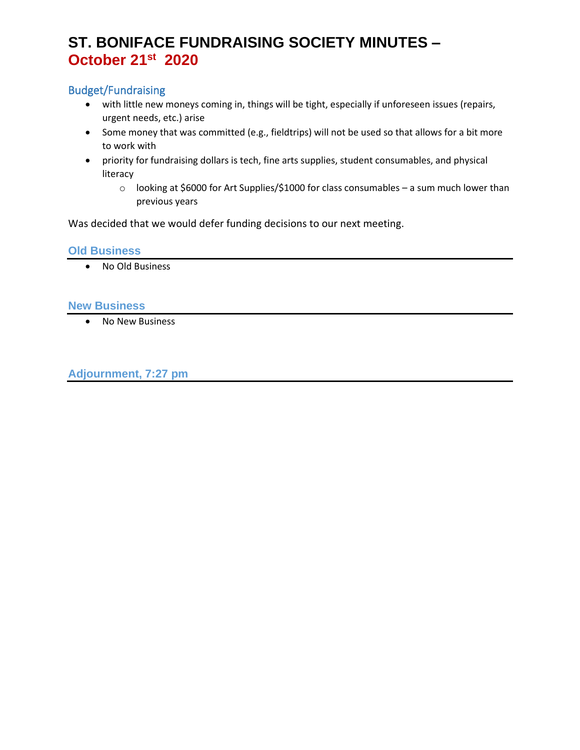# **ST. BONIFACE FUNDRAISING SOCIETY MINUTES – October 21 st 2020**

## Budget/Fundraising

- with little new moneys coming in, things will be tight, especially if unforeseen issues (repairs, urgent needs, etc.) arise
- Some money that was committed (e.g., fieldtrips) will not be used so that allows for a bit more to work with
- priority for fundraising dollars is tech, fine arts supplies, student consumables, and physical literacy
	- o looking at \$6000 for Art Supplies/\$1000 for class consumables a sum much lower than previous years

Was decided that we would defer funding decisions to our next meeting.

#### **Old Business**

• No Old Business

#### **New Business**

• No New Business

**Adjournment, 7:27 pm**